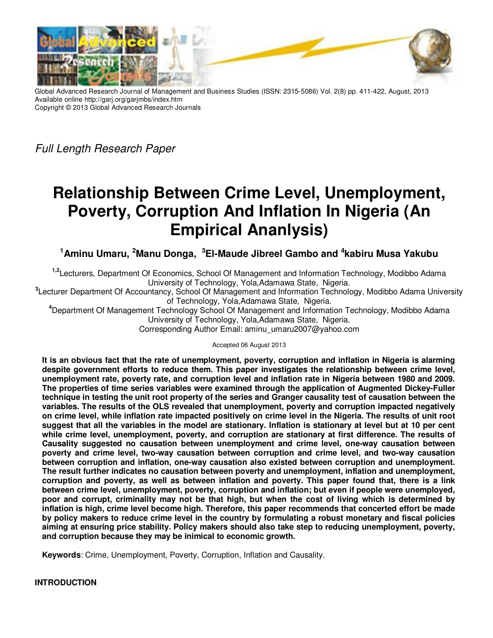

Global Advanced Research Journal of Management and Business Studies (ISSN: 2315-5086) Vol. 2(8) pp. 411-422, August, 2013 Available online http://garj.org/garjmbs/index.htm Copyright © 2013 Global Advanced Research Journals

Full Length Research Paper

# **Relationship Between Crime Level, Unemployment, Poverty, Corruption And Inflation In Nigeria (An Empirical Ananlysis)**

**<sup>1</sup>Aminu Umaru, <sup>2</sup>Manu Donga, <sup>3</sup>El-Maude Jibreel Gambo and <sup>4</sup> kabiru Musa Yakubu** 

**1,2**Lecturers, Department Of Economics, School Of Management and Information Technology, Modibbo Adama University of Technology, Yola,Adamawa State, Nigeria.

**3** Lecturer Department Of Accountancy, School Of Management and Information Technology, Modibbo Adama University of Technology, Yola,Adamawa State, Nigeria.

**<sup>4</sup>**Department Of Management Technology School Of Management and Information Technology, Modibbo Adama University of Technology, Yola,Adamawa State, Nigeria.

Corresponding Author Email: aminu\_umaru2007@yahoo.com

#### Accepted 06 August 2013

**It is an obvious fact that the rate of unemployment, poverty, corruption and inflation in Nigeria is alarming despite government efforts to reduce them. This paper investigates the relationship between crime level, unemployment rate, poverty rate, and corruption level and inflation rate in Nigeria between 1980 and 2009. The properties of time series variables were examined through the application of Augmented Dickey-Fuller technique in testing the unit root property of the series and Granger causality test of causation between the variables. The results of the OLS revealed that unemployment, poverty and corruption impacted negatively on crime level, while inflation rate impacted positively on crime level in the Nigeria. The results of unit root suggest that all the variables in the model are stationary. Inflation is stationary at level but at 10 per cent while crime level, unemployment, poverty, and corruption are stationary at first difference. The results of Causality suggested no causation between unemployment and crime level, one-way causation between poverty and crime level, two-way causation between corruption and crime level, and two-way causation between corruption and inflation, one-way causation also existed between corruption and unemployment. The result further indicates no causation between poverty and unemployment, inflation and unemployment, corruption and poverty, as well as between inflation and poverty. This paper found that, there is a link between crime level, unemployment, poverty, corruption and inflation; but even if people were unemployed, poor and corrupt, criminality may not be that high, but when the cost of living which is determined by inflation is high, crime level become high. Therefore, this paper recommends that concerted effort be made by policy makers to reduce crime level in the country by formulating a robust monetary and fiscal policies aiming at ensuring price stability. Policy makers should also take step to reducing unemployment, poverty, and corruption because they may be inimical to economic growth.** 

**Keywords**: Crime, Unemployment, Poverty, Corruption, Inflation and Causality.

# **INTRODUCTION**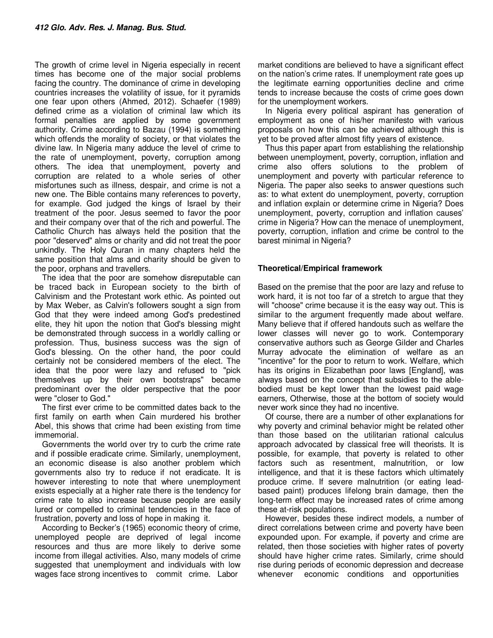The growth of crime level in Nigeria especially in recent times has become one of the major social problems facing the country. The dominance of crime in developing countries increases the volatility of issue, for it pyramids one fear upon others (Ahmed, 2012). Schaefer (1989) defined crime as a violation of criminal law which its formal penalties are applied by some government authority. Crime according to Bazau (1994) is something which offends the morality of society, or that violates the divine law. In Nigeria many adduce the level of crime to the rate of unemployment, poverty, corruption among others. The idea that unemployment, poverty and corruption are related to a whole series of other misfortunes such as illness, despair, and crime is not a new one. The Bible contains many references to poverty, for example. God judged the kings of Israel by their treatment of the poor. Jesus seemed to favor the poor and their company over that of the rich and powerful. The Catholic Church has always held the position that the poor "deserved" alms or charity and did not treat the poor unkindly. The Holy Quran in many chapters held the same position that alms and charity should be given to the poor, orphans and travellers.

The idea that the poor are somehow disreputable can be traced back in European society to the birth of Calvinism and the Protestant work ethic. As pointed out by Max Weber, as Calvin's followers sought a sign from God that they were indeed among God's predestined elite, they hit upon the notion that God's blessing might be demonstrated through success in a worldly calling or profession. Thus, business success was the sign of God's blessing. On the other hand, the poor could certainly not be considered members of the elect. The idea that the poor were lazy and refused to "pick themselves up by their own bootstraps" became predominant over the older perspective that the poor were "closer to God."

The first ever crime to be committed dates back to the first family on earth when Cain murdered his brother Abel, this shows that crime had been existing from time immemorial.

Governments the world over try to curb the crime rate and if possible eradicate crime. Similarly, unemployment, an economic disease is also another problem which governments also try to reduce if not eradicate. It is however interesting to note that where unemployment exists especially at a higher rate there is the tendency for crime rate to also increase because people are easily lured or compelled to criminal tendencies in the face of frustration, poverty and loss of hope in making it.

According to Becker's (1965) economic theory of crime, unemployed people are deprived of legal income resources and thus are more likely to derive some income from illegal activities. Also, many models of crime suggested that unemployment and individuals with low wages face strong incentives to commit crime. Labor

market conditions are believed to have a significant effect on the nation's crime rates. If unemployment rate goes up the legitimate earning opportunities decline and crime tends to increase because the costs of crime goes down for the unemployment workers.

In Nigeria every political aspirant has generation of employment as one of his/her manifesto with various proposals on how this can be achieved although this is yet to be proved after almost fifty years of existence.

Thus this paper apart from establishing the relationship between unemployment, poverty, corruption, inflation and crime also offers solutions to the problem of unemployment and poverty with particular reference to Nigeria. The paper also seeks to answer questions such as: to what extent do unemployment, poverty, corruption and inflation explain or determine crime in Nigeria? Does unemployment, poverty, corruption and inflation causes' crime in Nigeria? How can the menace of unemployment, poverty, corruption, inflation and crime be control to the barest minimal in Nigeria?

# **Theoretical/Empirical framework**

Based on the premise that the poor are lazy and refuse to work hard, it is not too far of a stretch to argue that they will "choose" crime because it is the easy way out. This is similar to the argument frequently made about welfare. Many believe that if offered handouts such as welfare the lower classes will never go to work. Contemporary conservative authors such as George Gilder and Charles Murray advocate the elimination of welfare as an "incentive" for the poor to return to work. Welfare, which has its origins in Elizabethan poor laws [England], was always based on the concept that subsidies to the ablebodied must be kept lower than the lowest paid wage earners, Otherwise, those at the bottom of society would never work since they had no incentive.

Of course, there are a number of other explanations for why poverty and criminal behavior might be related other than those based on the utilitarian rational calculus approach advocated by classical free will theorists. It is possible, for example, that poverty is related to other factors such as resentment, malnutrition, or low intelligence, and that it is these factors which ultimately produce crime. If severe malnutrition (or eating leadbased paint) produces lifelong brain damage, then the long-term effect may be increased rates of crime among these at-risk populations.

However, besides these indirect models, a number of direct correlations between crime and poverty have been expounded upon. For example, if poverty and crime are related, then those societies with higher rates of poverty should have higher crime rates. Similarly, crime should rise during periods of economic depression and decrease whenever economic conditions and opportunities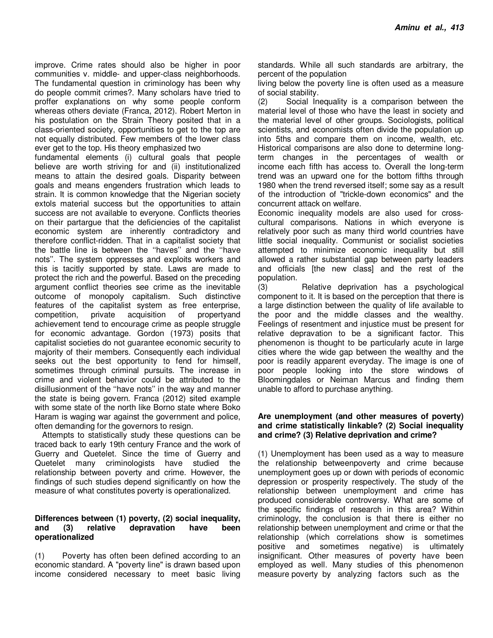improve. Crime rates should also be higher in poor communities v. middle- and upper-class neighborhoods. The fundamental question in criminology has been why do people commit crimes?. Many scholars have tried to proffer explanations on why some people conform whereas others deviate (Franca, 2012). Robert Merton in his postulation on the Strain Theory posited that in a class-oriented society, opportunities to get to the top are not equally distributed. Few members of the lower class ever get to the top. His theory emphasized two

fundamental elements (i) cultural goals that people believe are worth striving for and (ii) institutionalized means to attain the desired goals. Disparity between goals and means engenders frustration which leads to strain. It is common knowledge that the Nigerian society extols material success but the opportunities to attain success are not available to everyone. Conflicts theories on their partargue that the deficiencies of the capitalist economic system are inherently contradictory and therefore conflict-ridden. That in a capitalist society that the battle line is between the ''haves'' and the ''have nots''. The system oppresses and exploits workers and this is tacitly supported by state. Laws are made to protect the rich and the powerful. Based on the preceding argument conflict theories see crime as the inevitable outcome of monopoly capitalism. Such distinctive features of the capitalist system as free enterprise, competition, private acquisition of propertyand achievement tend to encourage crime as people struggle for economic advantage. Gordon (1973) posits that capitalist societies do not guarantee economic security to majority of their members. Consequently each individual seeks out the best opportunity to fend for himself, sometimes through criminal pursuits. The increase in crime and violent behavior could be attributed to the disillusionment of the ''have nots'' in the way and manner the state is being govern. Franca (2012) sited example with some state of the north like Borno state where Boko Haram is waging war against the government and police, often demanding for the governors to resign.

Attempts to statistically study these questions can be traced back to early 19th century France and the work of Guerry and Quetelet. Since the time of Guerry and Quetelet many criminologists have studied the relationship between poverty and crime. However, the findings of such studies depend significantly on how the measure of what constitutes poverty is operationalized.

## **Differences between (1) poverty, (2) social inequality, and (3) relative depravation have been operationalized**

(1) Poverty has often been defined according to an economic standard. A "poverty line" is drawn based upon income considered necessary to meet basic living

standards. While all such standards are arbitrary, the percent of the population

living below the poverty line is often used as a measure of social stability.

(2) Social Inequality is a comparison between the material level of those who have the least in society and the material level of other groups. Sociologists, political scientists, and economists often divide the population up into 5ths and compare them on income, wealth, etc. Historical comparisons are also done to determine longterm changes in the percentages of wealth or income each fifth has access to. Overall the long-term trend was an upward one for the bottom fifths through 1980 when the trend reversed itself; some say as a result of the introduction of "trickle-down economics" and the concurrent attack on welfare.

Economic inequality models are also used for crosscultural comparisons. Nations in which everyone is relatively poor such as many third world countries have little social inequality. Communist or socialist societies attempted to minimize economic inequality but still allowed a rather substantial gap between party leaders and officials [the new class] and the rest of the population.

(3) Relative deprivation has a psychological component to it. It is based on the perception that there is a large distinction between the quality of life available to the poor and the middle classes and the wealthy. Feelings of resentment and injustice must be present for relative depravation to be a significant factor. This phenomenon is thought to be particularly acute in large cities where the wide gap between the wealthy and the poor is readily apparent everyday. The image is one of poor people looking into the store windows of Bloomingdales or Neiman Marcus and finding them unable to afford to purchase anything.

## **Are unemployment (and other measures of poverty) and crime statistically linkable? (2) Social inequality and crime? (3) Relative deprivation and crime?**

(1) Unemployment has been used as a way to measure the relationship betweenpoverty and crime because unemployment goes up or down with periods of economic depression or prosperity respectively. The study of the relationship between unemployment and crime has produced considerable controversy. What are some of the specific findings of research in this area? Within criminology, the conclusion is that there is either no relationship between unemployment and crime or that the relationship (which correlations show is sometimes positive and sometimes negative) is ultimately insignificant. Other measures of poverty have been employed as well. Many studies of this phenomenon measure poverty by analyzing factors such as the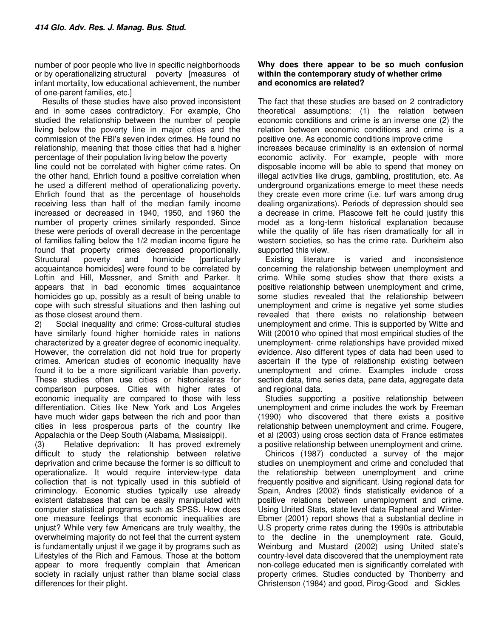number of poor people who live in specific neighborhoods or by operationalizing structural poverty [measures of infant mortality, low educational achievement, the number of one-parent families, etc.]

Results of these studies have also proved inconsistent and in some cases contradictory. For example, Cho studied the relationship between the number of people living below the poverty line in major cities and the commission of the FBI's seven index crimes. He found no relationship, meaning that those cities that had a higher percentage of their population living below the poverty

line could not be correlated with higher crime rates. On the other hand, Ehrlich found a positive correlation when he used a different method of operationalizing poverty. Ehrlich found that as the percentage of households receiving less than half of the median family income increased or decreased in 1940, 1950, and 1960 the number of property crimes similarly responded. Since these were periods of overall decrease in the percentage of families falling below the 1/2 median income figure he found that property crimes decreased proportionally. Structural poverty and homicide [particularly acquaintance homicides] were found to be correlated by Loftin and Hill, Messner, and Smith and Parker. It appears that in bad economic times acquaintance homicides go up, possibly as a result of being unable to cope with such stressful situations and then lashing out as those closest around them.

2) Social inequality and crime: Cross-cultural studies have similarly found higher homicide rates in nations characterized by a greater degree of economic inequality. However, the correlation did not hold true for property crimes. American studies of economic inequality have found it to be a more significant variable than poverty. These studies often use cities or historicaleras for comparison purposes. Cities with higher rates of economic inequality are compared to those with less differentiation. Cities like New York and Los Angeles have much wider gaps between the rich and poor than cities in less prosperous parts of the country like Appalachia or the Deep South (Alabama, Mississippi).

(3) Relative deprivation: It has proved extremely difficult to study the relationship between relative deprivation and crime because the former is so difficult to operationalize. It would require interview-type data collection that is not typically used in this subfield of criminology. Economic studies typically use already existent databases that can be easily manipulated with computer statistical programs such as SPSS. How does one measure feelings that economic inequalities are unjust? While very few Americans are truly wealthy, the overwhelming majority do not feel that the current system is fundamentally unjust if we gage it by programs such as Lifestyles of the Rich and Famous. Those at the bottom appear to more frequently complain that American society in racially unjust rather than blame social class differences for their plight.

## **Why does there appear to be so much confusion within the contemporary study of whether crime and economics are related?**

The fact that these studies are based on 2 contradictory theoretical assumptions: (1) the relation between economic conditions and crime is an inverse one (2) the relation between economic conditions and crime is a positive one. As economic conditions improve crime increases because criminality is an extension of normal economic activity. For example, people with more disposable income will be able to spend that money on illegal activities like drugs, gambling, prostitution, etc. As underground organizations emerge to meet these needs they create even more crime (i.e. turf wars among drug dealing organizations). Periods of depression should see a decrease in crime. Plascowe felt he could justify this model as a long-term historical explanation because while the quality of life has risen dramatically for all in western societies, so has the crime rate. Durkheim also supported this view.

Existing literature is varied and inconsistence concerning the relationship between unemployment and crime. While some studies show that there exists a positive relationship between unemployment and crime, some studies revealed that the relationship between unemployment and crime is negative yet some studies revealed that there exists no relationship between unemployment and crime. This is supported by Witte and Witt (20010 who opined that most empirical studies of the unemployment- crime relationships have provided mixed evidence. Also different types of data had been used to ascertain if the type of relationship existing between unemployment and crime. Examples include cross section data, time series data, pane data, aggregate data and regional data.

Studies supporting a positive relationship between unemployment and crime includes the work by Freeman (1990) who discovered that there exists a positive relationship between unemployment and crime. Fougere, et al (2003) using cross section data of France estimates a positive relationship between unemployment and crime.

Chiricos (1987) conducted a survey of the major studies on unemployment and crime and concluded that the relationship between unemployment and crime frequently positive and significant. Using regional data for Spain, Andres (2002) finds statistically evidence of a positive relations between unemployment and crime. Using United Stats, state level data Rapheal and Winter-Ebmer (2001) report shows that a substantial decline in U.S property crime rates during the 1990s is attributable to the decline in the unemployment rate. Gould, Weinburg and Mustard (2002) using United state's country-level data discovered that the unemployment rate non-college educated men is significantly correlated with property crimes. Studies conducted by Thonberry and Christenson (1984) and good, Pirog-Good and Sickles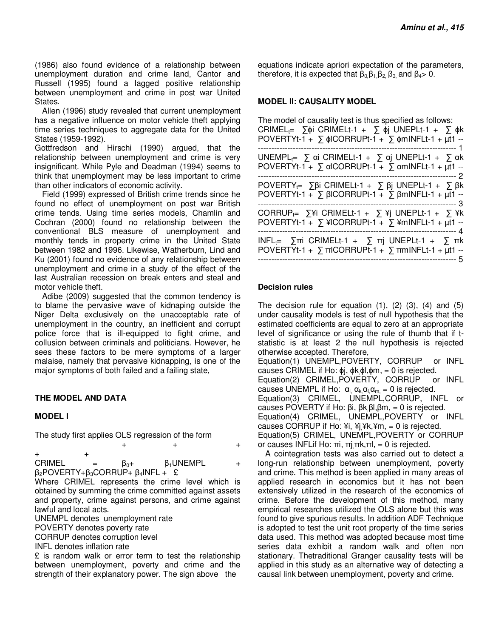(1986) also found evidence of a relationship between unemployment duration and crime land, Cantor and Russell (1995) found a lagged positive relationship between unemployment and crime in post war United States.

Allen (1996) study revealed that current unemployment has a negative influence on motor vehicle theft applying time series techniques to aggregate data for the United States (1959-1992).

Gottfredson and Hirschi (1990) argued, that the relationship between unemployment and crime is very insignificant. While Pyle and Deadman (1994) seems to think that unemployment may be less important to crime than other indicators of economic activity.

Field (1999) expressed of British crime trends since he found no effect of unemployment on post war British crime tends. Using time series models, Chamlin and Cochran (2000) found no relationship between the conventional BLS measure of unemployment and monthly tends in property crime in the United State between 1982 and 1996. Likewise, Watherburn, Lind and Ku (2001) found no evidence of any relationship between unemployment and crime in a study of the effect of the last Australian recession on break enters and steal and motor vehicle theft.

Adibe (2009) suggested that the common tendency is to blame the pervasive wave of kidnaping outside the Niger Delta exclusively on the unacceptable rate of unemployment in the country, an inefficient and corrupt police force that is ill-equipped to fight crime, and collusion between criminals and politicians. However, he sees these factors to be mere symptoms of a larger malaise, namely that pervasive kidnapping, is one of the major symptoms of both failed and a failing state,

## **THE MODEL AND DATA**

## **MODEL I**

The study first applies OLS regression of the form

| <b>CRIMEL</b>                                           | Bo+ | $\beta_1$ UNEMPL |  |
|---------------------------------------------------------|-----|------------------|--|
| $\beta_2$ POVERTY+ $\beta_3$ CORRUP+ $\beta_4$ INFL + £ |     |                  |  |

Where CRIMEL represents the crime level which is obtained by summing the crime committed against assets and property, crime against persons, and crime against lawful and local acts.

UNEMPL denotes unemployment rate

POVERTY denotes poverty rate

CORRUP denotes corruption level

INFL denotes inflation rate

£ is random walk or error term to test the relationship between unemployment, poverty and crime and the strength of their explanatory power. The sign above the

equations indicate apriori expectation of the parameters, therefore, it is expected that  $\beta_0, \beta_1, \beta_2, \beta_3$  and  $\beta_4 > 0$ .

## **MODEL II: CAUSALITY MODEL**

The model of causality test is thus specified as follows: CRIMEL<sub>t</sub>=  $\sum \phi i$  CRIMELt-1 +  $\sum \phi j$  UNEPLt-1 +  $\sum \phi k$ POVERTYt-1 +  $\sum$   $\phi$ ICORRUPt-1 +  $\sum$   $\phi$ mINFLt-1 +  $\mu$ t1 ---------------------------------------------------------------------------- 1 UNEMPL<sub>t=</sub>  $\Sigma$  αi CRIMELt-1 +  $\Sigma$  αj UNEPLt-1 +  $\Sigma$  αk POVERTYt-1 +  $\sum$  alCORRUPt-1 +  $\sum$  amINFLt-1 +  $\mu$ t1 ---------------------------------------------------------------------------- 2 POVERTY<sub>t</sub>= ∑βi CRIMELt-1 + Σ βj UNEPLt-1 + Σ βk POVERTYt-1 +  $\sum$  βICORRUPt-1 +  $\sum$  βmINFLt-1 + μt1 ---------------------------------------------------------------------------- 3 CORRUP<sub>t</sub>=  $\sum \hat{Y}$ i CRIMELt-1 +  $\sum \hat{Y}$ j UNEPLt-1 +  $\sum \hat{Y}$ k  $POVERTYt-1 + \sum \text{HCORRUPt-1 + \sum \text{MINF}Lt-1 + \mu t1 -$ -------------------------------------------------------------------------- 4 INFL<sub>t</sub>=  $\Sigma$ πi CRIMELt-1 +  $\Sigma$  πj UNEPLt-1 +  $\Sigma$  πk POVERTYt-1 +  $\Sigma$  πlCORRUPt-1 +  $\Sigma$  πmINFLt-1 + μt1 ---------------------------------------------------------------------------- 5

## **Decision rules**

The decision rule for equation  $(1)$ ,  $(2)$   $(3)$ ,  $(4)$  and  $(5)$ under causality models is test of null hypothesis that the estimated coefficients are equal to zero at an appropriate level of significance or using the rule of thumb that if tstatistic is at least 2 the null hypothesis is rejected otherwise accepted. Therefore, Equation(1) UNEMPL,POVERTY, CORRUP or INFL causes CRIMEL if Ho:  $φ$ j,  $φ$ k $φ$ l, $φ$ m, = 0 is rejected. Equation(2) CRIMEL,POVERTY, CORRUP or INFL causes UNEMPL if Ho:  $\alpha_{i}$ ,  $\alpha_{k}$ ,  $\alpha_{m}$  = 0 is rejected. Equation(3) CRIMEL, UNEMPL,CORRUP, INFL or causes POVERTY if Ho:  $βi$ ,  $βk$ ,  $βl$ ,  $βm$ , = 0 is rejected. Equation(4) CRIMEL, UNEMPL,POVERTY or INFL causes CORRUP if Ho: \amequibely, \ambdat{if \times} causes CORRUP if Ho: \ambdat{if \times} \lefta\$ \frac{if \times} cause S Equation(5) CRIMEL, UNEMPL,POVERTY or CORRUP or causes INFLif Ho:  $πi, πj, πk, πl, = 0$  is rejected.

A cointegration tests was also carried out to detect a long-run relationship between unemployment, poverty and crime. This method is been applied in many areas of applied research in economics but it has not been extensively utilized in the research of the economics of crime. Before the development of this method, many empirical researches utilized the OLS alone but this was found to give spurious results. In addition ADF Technique is adopted to test the unit root property of the time series data used. This method was adopted because most time series data exhibit a random walk and often non stationary. Thetraditional Granger causality tests will be applied in this study as an alternative way of detecting a causal link between unemployment, poverty and crime.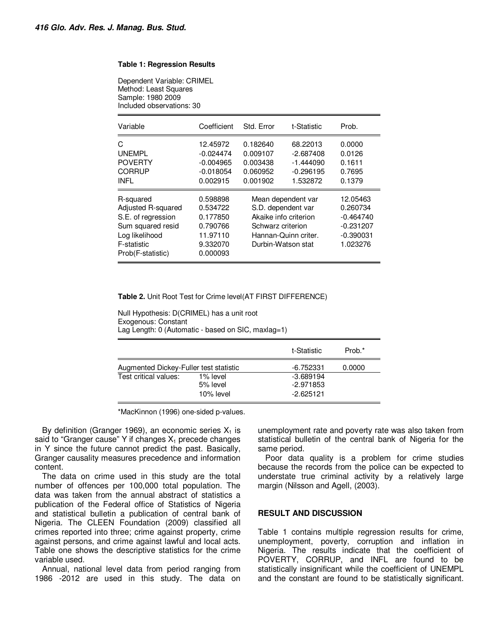#### **Table 1: Regression Results**

Dependent Variable: CRIMEL Method: Least Squares Sample: 1980 2009 Included observations: 30

| Variable                                                                                                                         | Coefficient                                                                      | Std. Error                                                                                                                           | t-Statistic                                                       | Prob.                                                                         |
|----------------------------------------------------------------------------------------------------------------------------------|----------------------------------------------------------------------------------|--------------------------------------------------------------------------------------------------------------------------------------|-------------------------------------------------------------------|-------------------------------------------------------------------------------|
| C<br><b>UNEMPL</b><br><b>POVERTY</b><br>CORRUP<br>INFL                                                                           | 12.45972<br>$-0.024474$<br>$-0.004965$<br>$-0.018054$<br>0.002915                | 0.182640<br>0.009107<br>0.003438<br>0.060952<br>0.001902                                                                             | 68.22013<br>$-2.687408$<br>$-1.444090$<br>$-0.296195$<br>1.532872 | 0.0000<br>0.0126<br>0.1611<br>0.7695<br>0.1379                                |
| R-squared<br>Adjusted R-squared<br>S.E. of regression<br>Sum squared resid<br>Log likelihood<br>F-statistic<br>Prob(F-statistic) | 0.598898<br>0.534722<br>0.177850<br>0.790766<br>11.97110<br>9.332070<br>0.000093 | Mean dependent var<br>S.D. dependent var<br>Akaike info criterion<br>Schwarz criterion<br>Hannan-Quinn criter.<br>Durbin-Watson stat |                                                                   | 12.05463<br>0.260734<br>$-0.464740$<br>$-0.231207$<br>$-0.390031$<br>1.023276 |

#### **Table 2.** Unit Root Test for Crime level(AT FIRST DIFFERENCE)

Null Hypothesis: D(CRIMEL) has a unit root Exogenous: Constant Lag Length: 0 (Automatic - based on SIC, maxlag=1)

|                                        |                      | t-Statistic            | Prob.* |
|----------------------------------------|----------------------|------------------------|--------|
| Augmented Dickey-Fuller test statistic |                      | -6.752331              | 0.0000 |
| Test critical values:                  | 1% level<br>5% level | -3.689194<br>-2.971853 |        |
|                                        | 10% level            | $-2.625121$            |        |

\*MacKinnon (1996) one-sided p-values.

By definition (Granger 1969), an economic series  $X_1$  is said to "Granger cause" Y if changes  $X_1$  precede changes in Y since the future cannot predict the past. Basically, Granger causality measures precedence and information content.

The data on crime used in this study are the total number of offences per 100,000 total population. The data was taken from the annual abstract of statistics a publication of the Federal office of Statistics of Nigeria and statistical bulletin a publication of central bank of Nigeria. The CLEEN Foundation (2009) classified all crimes reported into three; crime against property, crime against persons, and crime against lawful and local acts. Table one shows the descriptive statistics for the crime variable used.

Annual, national level data from period ranging from 1986 -2012 are used in this study. The data on unemployment rate and poverty rate was also taken from statistical bulletin of the central bank of Nigeria for the same period.

Poor data quality is a problem for crime studies because the records from the police can be expected to understate true criminal activity by a relatively large margin (Nilsson and Agell, (2003).

#### **RESULT AND DISCUSSION**

Table 1 contains multiple regression results for crime, unemployment, poverty, corruption and inflation in Nigeria. The results indicate that the coefficient of POVERTY, CORRUP, and INFL are found to be statistically insignificant while the coefficient of UNEMPL and the constant are found to be statistically significant.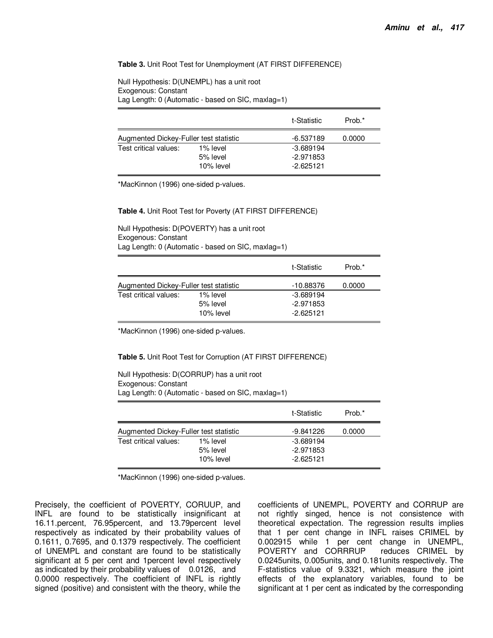#### **Table 3.** Unit Root Test for Unemployment (AT FIRST DIFFERENCE)

Null Hypothesis: D(UNEMPL) has a unit root Exogenous: Constant Lag Length: 0 (Automatic - based on SIC, maxlag=1)

|                                        |           | t-Statistic | Prob.* |
|----------------------------------------|-----------|-------------|--------|
| Augmented Dickey-Fuller test statistic |           | -6.537189   | 0.0000 |
| Test critical values:                  | 1% level  | $-3.689194$ |        |
|                                        | 5% level  | $-2.971853$ |        |
|                                        | 10% level | $-2.625121$ |        |

\*MacKinnon (1996) one-sided p-values.

**Table 4.** Unit Root Test for Poverty (AT FIRST DIFFERENCE)

Null Hypothesis: D(POVERTY) has a unit root Exogenous: Constant Lag Length: 0 (Automatic - based on SIC, maxlag=1)

|                                        |                                   | t-Statistic                             | Prob.* |
|----------------------------------------|-----------------------------------|-----------------------------------------|--------|
| Augmented Dickey-Fuller test statistic |                                   | -10.88376                               | 0.0000 |
| Test critical values:                  | 1% level<br>5% level<br>10% level | $-3.689194$<br>-2.971853<br>$-2.625121$ |        |

\*MacKinnon (1996) one-sided p-values.

**Table 5.** Unit Root Test for Corruption (AT FIRST DIFFERENCE)

Null Hypothesis: D(CORRUP) has a unit root Exogenous: Constant Lag Length: 0 (Automatic - based on SIC, maxlag=1)

|                                        |           | t-Statistic | Prob.* |
|----------------------------------------|-----------|-------------|--------|
| Augmented Dickey-Fuller test statistic |           | $-9.841226$ | 0.0000 |
| Test critical values:                  | 1% level  | $-3.689194$ |        |
|                                        | 5% level  | $-2.971853$ |        |
|                                        | 10% level | $-2.625121$ |        |

\*MacKinnon (1996) one-sided p-values.

Precisely, the coefficient of POVERTY, CORUUP, and INFL are found to be statistically insignificant at 16.11.percent, 76.95percent, and 13.79percent level respectively as indicated by their probability values of 0.1611, 0.7695, and 0.1379 respectively. The coefficient of UNEMPL and constant are found to be statistically significant at 5 per cent and 1percent level respectively as indicated by their probability values of 0.0126, and 0.0000 respectively. The coefficient of INFL is rightly signed (positive) and consistent with the theory, while the coefficients of UNEMPL, POVERTY and CORRUP are not rightly singed, hence is not consistence with theoretical expectation. The regression results implies that 1 per cent change in INFL raises CRIMEL by 0.002915 while 1 per cent change in UNEMPL, POVERTY and CORRRUP reduces CRIMEL by 0.0245units, 0.005units, and 0.181units respectively. The F-statistics value of 9.3321, which measure the joint effects of the explanatory variables, found to be significant at 1 per cent as indicated by the corresponding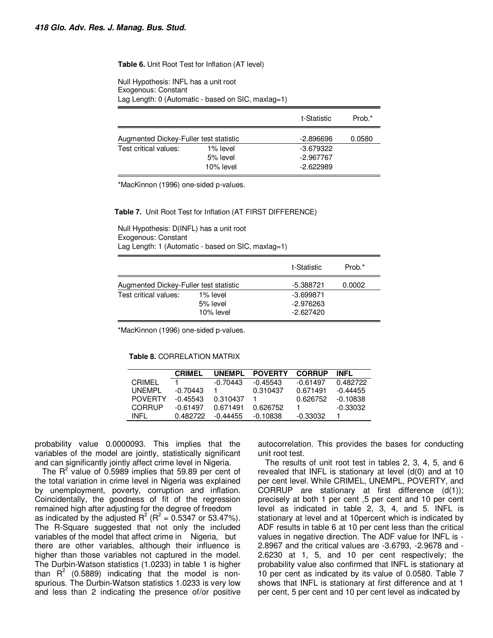#### **Table 6.** Unit Root Test for Inflation (AT level)

Null Hypothesis: INFL has a unit root Exogenous: Constant Lag Length: 0 (Automatic - based on SIC, maxlag=1)

|                                        |           | t-Statistic | Prob.* |
|----------------------------------------|-----------|-------------|--------|
| Augmented Dickey-Fuller test statistic |           | $-2.896696$ | 0.0580 |
| Test critical values:                  | 1% level  | $-3.679322$ |        |
|                                        | 5% level  | $-2.967767$ |        |
|                                        | 10% level | $-2.622989$ |        |

\*MacKinnon (1996) one-sided p-values.

**Table 7.** Unit Root Test for Inflation (AT FIRST DIFFERENCE)

Null Hypothesis: D(INFL) has a unit root Exogenous: Constant Lag Length: 1 (Automatic - based on SIC, maxlag=1)

|                                        |                                   | t-Statistic                               | Prob.* |
|----------------------------------------|-----------------------------------|-------------------------------------------|--------|
| Augmented Dickey-Fuller test statistic |                                   | -5.388721                                 | 0.0002 |
| Test critical values:                  | 1% level<br>5% level<br>10% level | $-3.699871$<br>$-2.976263$<br>$-2.627420$ |        |

\*MacKinnon (1996) one-sided p-values.

#### **Table 8.** CORRELATION MATRIX

|                | <b>CRIMEL</b> | <b>UNEMPL</b> | <b>POVERTY</b> | <b>CORRUP</b> | INFL       |
|----------------|---------------|---------------|----------------|---------------|------------|
| CRIMFI         |               | $-0.70443$    | $-0.45543$     | -0.61497      | 0.482722   |
| UNFMPL         | -0.70443      |               | 0.310437       | 0.671491      | $-0.44455$ |
| <b>POVERTY</b> | $-0.45543$    | 0.310437      |                | 0.626752      | -0.10838   |
| CORRUP         | -0.61497      | 0.671491      | 0.626752       |               | -0.33032   |
| INFL           | በ 482722      | $-0.44455$    | -0.10838       | -0.33032      |            |

probability value 0.0000093. This implies that the variables of the model are jointly, statistically significant and can significantly jointly affect crime level in Nigeria.

The  $R^2$  value of 0.5989 implies that 59.89 per cent of the total variation in crime level in Nigeria was explained by unemployment, poverty, corruption and inflation. Coincidentally, the goodness of fit of the regression remained high after adjusting for the degree of freedom as indicated by the adjusted  $R^2$  ( $R^2$  = 0.5347 or 53.47%). The R-Square suggested that not only the included variables of the model that affect crime in Nigeria, but there are other variables, although their influence is higher than those variables not captured in the model. The Durbin-Watson statistics (1.0233) in table 1 is higher than  $R^2$  (0.5889) indicating that the model is nonspurious. The Durbin-Watson statistics 1.0233 is very low and less than 2 indicating the presence of/or positive

autocorrelation. This provides the bases for conducting unit root test.

The results of unit root test in tables 2, 3, 4, 5, and 6 revealed that INFL is stationary at level (d(0) and at 10 per cent level. While CRIMEL, UNEMPL, POVERTY, and CORRUP are stationary at first difference  $(d(1))$ ; precisely at both 1 per cent ,5 per cent and 10 per cent level as indicated in table 2, 3, 4, and 5. INFL is stationary at level and at 10percent which is indicated by ADF results in table 6 at 10 per cent less than the critical values in negative direction. The ADF value for INFL is - 2.8967 and the critical values are -3.6793, -2.9678 and - 2.6230 at 1, 5, and 10 per cent respectively; the probability value also confirmed that INFL is stationary at 10 per cent as indicated by its value of 0.0580. Table 7 shows that INFL is stationary at first difference and at 1 per cent, 5 per cent and 10 per cent level as indicated by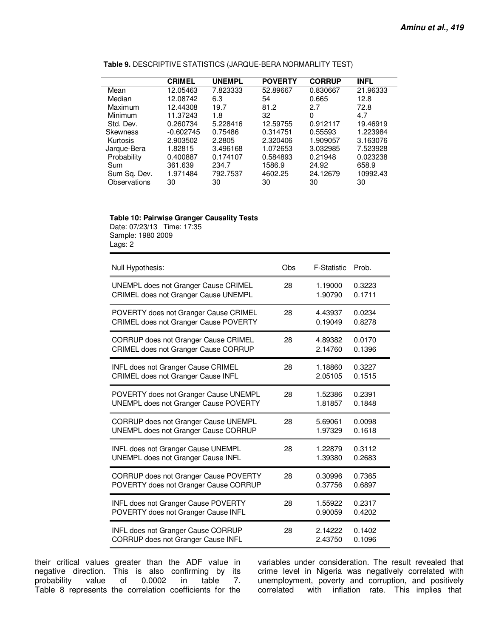|                 | <b>CRIMEL</b> | <b>UNEMPL</b> | <b>POVERTY</b> | <b>CORRUP</b> | <b>INFL</b> |
|-----------------|---------------|---------------|----------------|---------------|-------------|
| Mean            | 12.05463      | 7.823333      | 52.89667       | 0.830667      | 21.96333    |
| Median          | 12.08742      | 6.3           | 54             | 0.665         | 12.8        |
| Maximum         | 12.44308      | 19.7          | 81.2           | 2.7           | 72.8        |
| Minimum         | 11.37243      | 1.8           | 32             | 0             | 4.7         |
| Std. Dev.       | 0.260734      | 5.228416      | 12.59755       | 0.912117      | 19.46919    |
| <b>Skewness</b> | $-0.602745$   | 0.75486       | 0.314751       | 0.55593       | 1.223984    |
| Kurtosis        | 2.903502      | 2.2805        | 2.320406       | 1.909057      | 3.163076    |
| Jarque-Bera     | 1.82815       | 3.496168      | 1.072653       | 3.032985      | 7.523928    |
| Probability     | 0.400887      | 0.174107      | 0.584893       | 0.21948       | 0.023238    |
| Sum             | 361.639       | 234.7         | 1586.9         | 24.92         | 658.9       |
| Sum Sq. Dev.    | 1.971484      | 792.7537      | 4602.25        | 24.12679      | 10992.43    |
| Observations    | 30            | 30            | 30             | 30            | 30          |

**Table 9.** DESCRIPTIVE STATISTICS (JARQUE-BERA NORMARLITY TEST)

# **Table 10: Pairwise Granger Causality Tests**

Date: 07/23/13 Time: 17:35 Sample: 1980 2009 Lags: 2

| Null Hypothesis:                             | Obs | F-Statistic | Prob.  |
|----------------------------------------------|-----|-------------|--------|
| UNEMPL does not Granger Cause CRIMEL         | 28  | 1.19000     | 0.3223 |
| CRIMEL does not Granger Cause UNEMPL         |     | 1.90790     | 0.1711 |
| POVERTY does not Granger Cause CRIMEL        | 28  | 4.43937     | 0.0234 |
| CRIMEL does not Granger Cause POVERTY        |     | 0.19049     | 0.8278 |
| CORRUP does not Granger Cause CRIMEL         | 28  | 4.89382     | 0.0170 |
| CRIMEL does not Granger Cause CORRUP         |     | 2.14760     | 0.1396 |
| INFL does not Granger Cause CRIMEL           | 28  | 1.18860     | 0.3227 |
| CRIMEL does not Granger Cause INFL           |     | 2.05105     | 0.1515 |
| POVERTY does not Granger Cause UNEMPL        | 28  | 1.52386     | 0.2391 |
| <b>UNEMPL does not Granger Cause POVERTY</b> |     | 1.81857     | 0.1848 |
| CORRUP does not Granger Cause UNEMPL         | 28  | 5.69061     | 0.0098 |
| UNEMPL does not Granger Cause CORRUP         |     | 1.97329     | 0.1618 |
| <b>INFL does not Granger Cause UNEMPL</b>    | 28  | 1.22879     | 0.3112 |
| UNEMPL does not Granger Cause INFL           |     | 1.39380     | 0.2683 |
| CORRUP does not Granger Cause POVERTY        | 28  | 0.30996     | 0.7365 |
| POVERTY does not Granger Cause CORRUP        |     | 0.37756     | 0.6897 |
| INFL does not Granger Cause POVERTY          | 28  | 1.55922     | 0.2317 |
| POVERTY does not Granger Cause INFL          |     | 0.90059     | 0.4202 |
| INFL does not Granger Cause CORRUP           | 28  | 2.14222     | 0.1402 |
| CORRUP does not Granger Cause INFL           |     | 2.43750     | 0.1096 |

their critical values greater than the ADF value in negative direction. This is also confirming by its probability value of 0.0002 in table 7. 0.0002 in Table 8 represents the correlation coefficients for the variables under consideration. The result revealed that crime level in Nigeria was negatively correlated with unemployment, poverty and corruption, and positively correlated with inflation rate. This implies that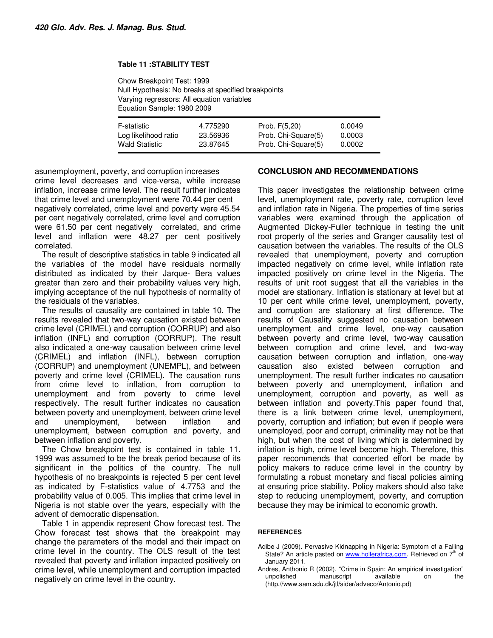#### **Table 11 :STABILITY TEST**

Chow Breakpoint Test: 1999 Null Hypothesis: No breaks at specified breakpoints Varying regressors: All equation variables Equation Sample: 1980 2009

| F-statistic           | 4.775290 | Prob. $F(5,20)$     | 0.0049 |
|-----------------------|----------|---------------------|--------|
| Log likelihood ratio  | 23.56936 | Prob. Chi-Square(5) | 0.0003 |
| <b>Wald Statistic</b> | 23.87645 | Prob. Chi-Square(5) | 0.0002 |

asunemployment, poverty, and corruption increases crime level decreases and vice-versa, while increase inflation, increase crime level. The result further indicates that crime level and unemployment were 70.44 per cent negatively correlated, crime level and poverty were 45.54 per cent negatively correlated, crime level and corruption were 61.50 per cent negatively correlated, and crime level and inflation were 48.27 per cent positively correlated.

The result of descriptive statistics in table 9 indicated all the variables of the model have residuals normally distributed as indicated by their Jarque- Bera values greater than zero and their probability values very high, implying acceptance of the null hypothesis of normality of the residuals of the variables.

The results of causality are contained in table 10. The results revealed that two-way causation existed between crime level (CRIMEL) and corruption (CORRUP) and also inflation (INFL) and corruption (CORRUP). The result also indicated a one-way causation between crime level (CRIMEL) and inflation (INFL), between corruption (CORRUP) and unemployment (UNEMPL), and between poverty and crime level (CRIMEL). The causation runs from crime level to inflation, from corruption to unemployment and from poverty to crime level respectively. The result further indicates no causation between poverty and unemployment, between crime level and unemployment, between inflation and unemployment, between corruption and poverty, and between inflation and poverty.

The Chow breakpoint test is contained in table 11. 1999 was assumed to be the break period because of its significant in the politics of the country. The null hypothesis of no breakpoints is rejected 5 per cent level as indicated by F-statistics value of 4.7753 and the probability value of 0.005. This implies that crime level in Nigeria is not stable over the years, especially with the advent of democratic dispensation.

Table 1 in appendix represent Chow forecast test. The Chow forecast test shows that the breakpoint may change the parameters of the model and their impact on crime level in the country. The OLS result of the test revealed that poverty and inflation impacted positively on crime level, while unemployment and corruption impacted negatively on crime level in the country.

# **CONCLUSION AND RECOMMENDATIONS**

This paper investigates the relationship between crime level, unemployment rate, poverty rate, corruption level and inflation rate in Nigeria. The properties of time series variables were examined through the application of Augmented Dickey-Fuller technique in testing the unit root property of the series and Granger causality test of causation between the variables. The results of the OLS revealed that unemployment, poverty and corruption impacted negatively on crime level, while inflation rate impacted positively on crime level in the Nigeria. The results of unit root suggest that all the variables in the model are stationary. Inflation is stationary at level but at 10 per cent while crime level, unemployment, poverty, and corruption are stationary at first difference. The results of Causality suggested no causation between unemployment and crime level, one-way causation between poverty and crime level, two-way causation between corruption and crime level, and two-way causation between corruption and inflation, one-way causation also existed between corruption and unemployment. The result further indicates no causation between poverty and unemployment, inflation and unemployment, corruption and poverty, as well as between inflation and poverty.This paper found that, there is a link between crime level, unemployment, poverty, corruption and inflation; but even if people were unemployed, poor and corrupt, criminality may not be that high, but when the cost of living which is determined by inflation is high, crime level become high. Therefore, this paper recommends that concerted effort be made by policy makers to reduce crime level in the country by formulating a robust monetary and fiscal policies aiming at ensuring price stability. Policy makers should also take step to reducing unemployment, poverty, and corruption because they may be inimical to economic growth.

## **REFERENCES**

- Adibe J (2009). Pervasive Kidnapping in Nigeria: Symptom of a Failing State? An article pasted on www.hollerafrica.com. Retrieved on 7<sup>th</sup> of January 2011.
- Andres, Anthonio R (2002). "Crime in Spain: An empirical investigation" manuscript available on the (http.//www.sam.sdu.dk/jtl/sider/adveco/Antonio.pd)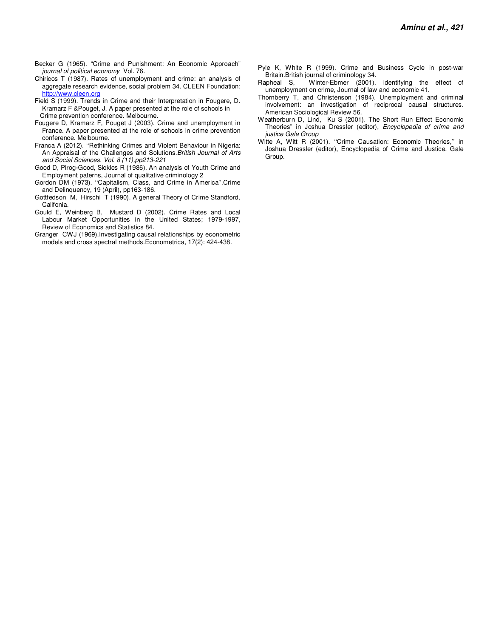- Becker G (1965). "Crime and Punishment: An Economic Approach" journal of political economy Vol. 76.
- Chiricos T (1987). Rates of unemployment and crime: an analysis of aggregate research evidence, social problem 34. CLEEN Foundation: http://www.cleen.org
- Field S (1999). Trends in Crime and their Interpretation in Fougere, D. Kramarz F &Pouget, J. A paper presented at the role of schools in Crime prevention conference. Melbourne.
- Fougere D, Kramarz F, Pouget J (2003). Crime and unemployment in France. A paper presented at the role of schools in crime prevention conference. Melbourne.
- Franca A (2012). ''Rethinking Crimes and Violent Behaviour in Nigeria: An Appraisal of the Challenges and Solutions.British Journal of Arts and Social Sciences. Vol. 8 (11),pp213-221
- Good D, Pirog-Good, Sickles R (1986). An analysis of Youth Crime and Employment paterns, Journal of qualitative criminology 2
- Gordon DM (1973). ''Capitalism, Class, and Crime in America''.Crime and Delinquency, 19 (April), pp163-186.
- Gottfedson M, Hirschi T (1990). A general Theory of Crime Standford, Califonia.
- Gould E, Weinberg B, Mustard D (2002). Crime Rates and Local Labour Market Opportunities in the United States; 1979-1997, Review of Economics and Statistics 84.
- Granger CWJ (1969).Investigating causal relationships by econometric models and cross spectral methods.Econometrica, 17(2): 424-438.
- Pyle K, White R (1999). Crime and Business Cycle in post-war Britain.British journal of criminology 34.
- Rapheal S, Winter-Ebmer (2001). identifying the effect of unemployment on crime, Journal of law and economic 41.
- Thornberry T, and Christenson (1984). Unemployment and criminal involvement: an investigation of reciprocal causal structures. American Sociological Review 56.
- Weatherburn D, Lind, Ku S (2001). The Short Run Effect Economic Theories" in Joshua Dressler (editor), Encyclopedia of crime and justice Gale Group
- Witte A, Witt R (2001). ''Crime Causation: Economic Theories,'' in Joshua Dressler (editor), Encyclopedia of Crime and Justice. Gale Group.